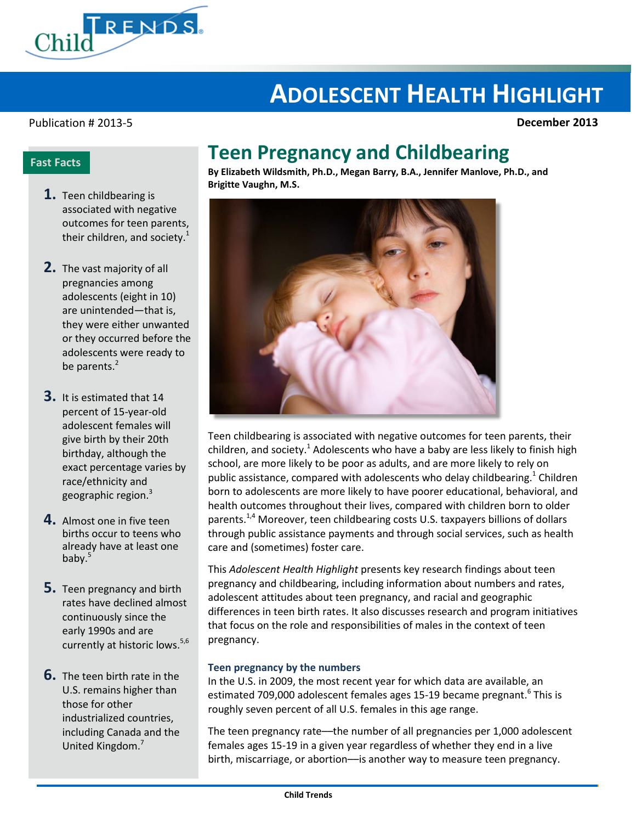

# **ADOLESCENT HEALTH HIGHLIGHT**

#### Publication # 2013-5 **December 2013**

### **Fast Facts**

- **1.** Teen childbearing is associated with negative outcomes for teen parents, their children, and society. $1$
- **2.** The vast majority of all pregnancies among adolescents (eight in 10) are unintended—that is, they were either unwanted or they occurred before the adolescents were ready to be parents.<sup>2</sup>
- **3.** It is estimated that 14 percent of 15-year-old adolescent females will give birth by their 20th birthday, although the exact percentage varies by race/ethnicity and geographic region.<sup>3</sup>
- **4.** Almost one in five teen births occur to teens who already have at least one baby. $5$
- **5.** Teen pregnancy and birth rates have declined almost continuously since the early 1990s and are currently at historic lows.<sup>5,6</sup>
- **6.** The teen birth rate in the U.S. remains higher than those for other industrialized countries, including Canada and the United Kingdom.<sup>7</sup>

## **Teen Pregnancy and Childbearing**

**By Elizabeth Wildsmith, Ph.D., Megan Barry, B.A., Jennifer Manlove, Ph.D., and Brigitte Vaughn, M.S.**



Teen childbearing is associated with negative outcomes for teen parents, their children, and society.<sup>1</sup> Adolescents who have a baby are less likely to finish high school, are more likely to be poor as adults, and are more likely to rely on public assistance, compared with adolescents who delay childbearing.<sup>1</sup> Children born to adolescents are more likely to have poorer educational, behavioral, and health outcomes throughout their lives, compared with children born to older parents.<sup>1,4</sup> Moreover, teen childbearing costs U.S. taxpayers billions of dollars through public assistance payments and through social services, such as health care and (sometimes) foster care.

This *Adolescent Health Highlight* presents key research findings about teen pregnancy and childbearing, including information about numbers and rates, adolescent attitudes about teen pregnancy, and racial and geographic differences in teen birth rates. It also discusses research and program initiatives that focus on the role and responsibilities of males in the context of teen pregnancy.

#### **Teen pregnancy by the numbers**

In the U.S. in 2009, the most recent year for which data are available, an estimated 709,000 adolescent females ages 15-19 became pregnant.<sup>6</sup> This is roughly seven percent of all U.S. females in this age range.

The teen pregnancy rate––the number of all pregnancies per 1,000 adolescent females ages 15-19 in a given year regardless of whether they end in a live birth, miscarriage, or abortion––is another way to measure teen pregnancy.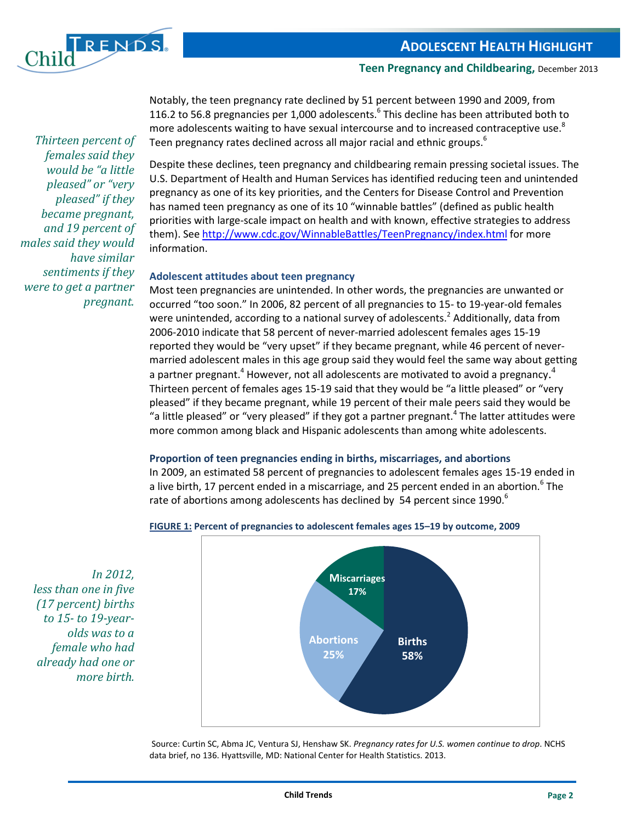

*Thirteen percent of females said they would be "a little pleased" or "very pleased" if they became pregnant, and 19 percent of males said they would* 

*have similar sentiments if they were to get a partner* 

*pregnant.* 

**Teen Pregnancy and Childbearing,** December 2013

Notably, the teen pregnancy rate declined by 51 percent between 1990 and 2009, from 116.2 to 56.8 pregnancies per 1,000 adolescents. $6$  This decline has been attributed both to more adolescents waiting to have sexual intercourse and to increased contraceptive use. ${}^{8}$ Teen pregnancy rates declined across all major racial and ethnic groups.<sup>6</sup>

Despite these declines, teen pregnancy and childbearing remain pressing societal issues. The U.S. Department of Health and Human Services has identified reducing teen and unintended pregnancy as one of its key priorities, and the Centers for Disease Control and Prevention has named teen pregnancy as one of its 10 "winnable battles" (defined as public health priorities with large-scale impact on health and with known, effective strategies to address them). See <http://www.cdc.gov/WinnableBattles/TeenPregnancy/index.html> for more information.

#### **Adolescent attitudes about teen pregnancy**

Most teen pregnancies are unintended. In other words, the pregnancies are unwanted or occurred "too soon." In 2006, 82 percent of all pregnancies to 15- to 19-year-old females were unintended, according to a national survey of adolescents.<sup>2</sup> Additionally, data from 2006-2010 indicate that 58 percent of never-married adolescent females ages 15-19 reported they would be "very upset" if they became pregnant, while 46 percent of nevermarried adolescent males in this age group said they would feel the same way about getting a partner pregnant.<sup>4</sup> However, not all adolescents are motivated to avoid a pregnancy.<sup>4</sup> Thirteen percent of females ages 15-19 said that they would be "a little pleased" or "very pleased" if they became pregnant, while 19 percent of their male peers said they would be "a little pleased" or "very pleased" if they got a partner pregnant. $4$  The latter attitudes were more common among black and Hispanic adolescents than among white adolescents.

#### **Proportion of teen pregnancies ending in births, miscarriages, and abortions**

In 2009, an estimated 58 percent of pregnancies to adolescent females ages 15-19 ended in a live birth, 17 percent ended in a miscarriage, and 25 percent ended in an abortion.<sup>6</sup> The rate of abortions among adolescents has declined by 54 percent since 1990.<sup>6</sup>



**FIGURE 1: Percent of pregnancies to adolescent females ages 15–19 by outcome, 2009**

*In 2012, less than one in five (17 percent) births to 15- to 19-yearolds was to a female who had already had one or more birth.*

> Source: Curtin SC, Abma JC, Ventura SJ, Henshaw SK. *Pregnancy rates for U.S. women continue to drop*. NCHS data brief, no 136. Hyattsville, MD: National Center for Health Statistics. 2013.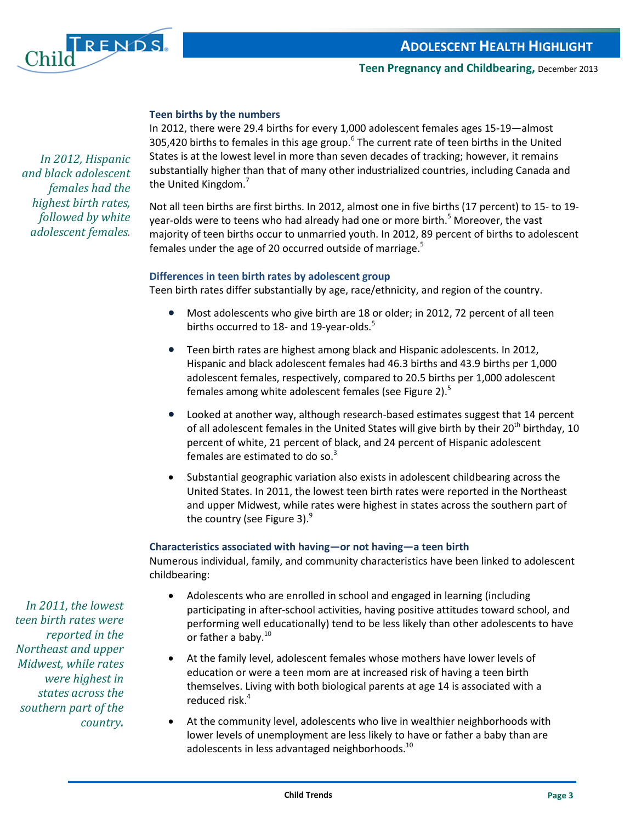

#### **Teen births by the numbers**

In 2012, there were 29.4 births for every 1,000 adolescent females ages 15-19—almost 305,420 births to females in this age group.<sup>6</sup> The current rate of teen births in the United States is at the lowest level in more than seven decades of tracking; however, it remains substantially higher than that of many other industrialized countries, including Canada and the United Kingdom.<sup>7</sup>

Not all teen births are first births. In 2012, almost one in five births (17 percent) to 15- to 19 year-olds were to teens who had already had one or more birth. <sup>5</sup> Moreover, the vast majority of teen births occur to unmarried youth. In 2012, 89 percent of births to adolescent females under the age of 20 occurred outside of marriage.<sup>5</sup>

#### **Differences in teen birth rates by adolescent group**

Teen birth rates differ substantially by age, race/ethnicity, and region of the country.

- Most adolescents who give birth are 18 or older; in 2012, 72 percent of all teen births occurred to 18- and 19-year-olds. $5$
- Teen birth rates are highest among black and Hispanic adolescents. In 2012, Hispanic and black adolescent females had 46.3 births and 43.9 births per 1,000 adolescent females, respectively, compared to 20.5 births per 1,000 adolescent females among white adolescent females (see Figure 2).<sup>5</sup>
- Looked at another way, although research-based estimates suggest that 14 percent of all adolescent females in the United States will give birth by their  $20^{th}$  birthday, 10 percent of white, 21 percent of black, and 24 percent of Hispanic adolescent females are estimated to do so.<sup>3</sup>
- Substantial geographic variation also exists in adolescent childbearing across the United States. In 2011, the lowest teen birth rates were reported in the Northeast and upper Midwest, while rates were highest in states across the southern part of the country (see Figure 3). $9$

#### **Characteristics associated with having—or not having—a teen birth**

Numerous individual, family, and community characteristics have been linked to adolescent childbearing:

- Adolescents who are enrolled in school and engaged in learning (including participating in after-school activities, having positive attitudes toward school, and performing well educationally) tend to be less likely than other adolescents to have or father a baby.<sup>10</sup>
- At the family level, adolescent females whose mothers have lower levels of education or were a teen mom are at increased risk of having a teen birth themselves. Living with both biological parents at age 14 is associated with a reduced risk.4
- At the community level, adolescents who live in wealthier neighborhoods with lower levels of unemployment are less likely to have or father a baby than are adolescents in less advantaged neighborhoods.<sup>10</sup>

*In 2012, Hispanic and black adolescent females had the highest birth rates, followed by white adolescent females.*

*In 2011, the lowest teen birth rates were reported in the Northeast and upper Midwest, while rates were highest in states across the southern part of the country.*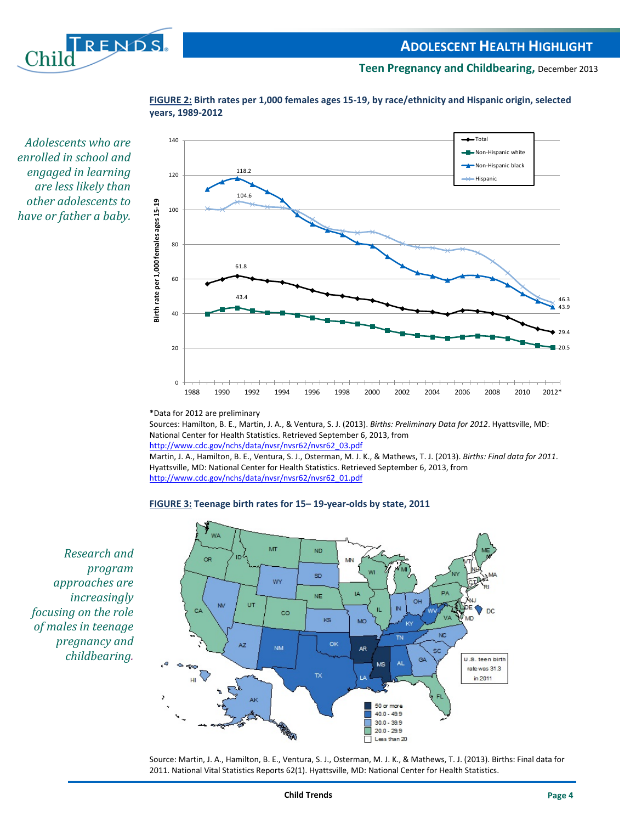



**FIGURE 2: Birth rates per 1,000 females ages 15-19, by race/ethnicity and Hispanic origin, selected years, 1989-2012**

*Adolescents who are enrolled in school and engaged in learning are less likely than other adolescents to have or father a baby.*

\*Data for 2012 are preliminary

Sources: Hamilton, B. E., Martin, J. A., & Ventura, S. J. (2013). *Births: Preliminary Data for 2012*. Hyattsville, MD: National Center for Health Statistics. Retrieved September 6, 2013, from [http://www.cdc.gov/nchs/data/nvsr/nvsr62/nvsr62\\_03.pdf](http://www.cdc.gov/nchs/data/nvsr/nvsr62/nvsr62_03.pdf) Martin, J. A., Hamilton, B. E., Ventura, S. J., Osterman, M. J. K., & Mathews, T. J. (2013). *Births: Final data for 2011*. Hyattsville, MD: National Center for Health Statistics. Retrieved September 6, 2013, from

[http://www.cdc.gov/nchs/data/nvsr/nvsr62/nvsr62\\_01.pdf](http://www.cdc.gov/nchs/data/nvsr/nvsr62/nvsr62_01.pdf)

#### **FIGURE 3: Teenage birth rates for 15– 19-year-olds by state, 2011**



*Research and program approaches are increasingly focusing on the role of males in teenage pregnancy and childbearing.*

> Source: Martin, J. A., Hamilton, B. E., Ventura, S. J., Osterman, M. J. K., & Mathews, T. J. (2013). Births: Final data for 2011. National Vital Statistics Reports 62(1). Hyattsville, MD: National Center for Health Statistics.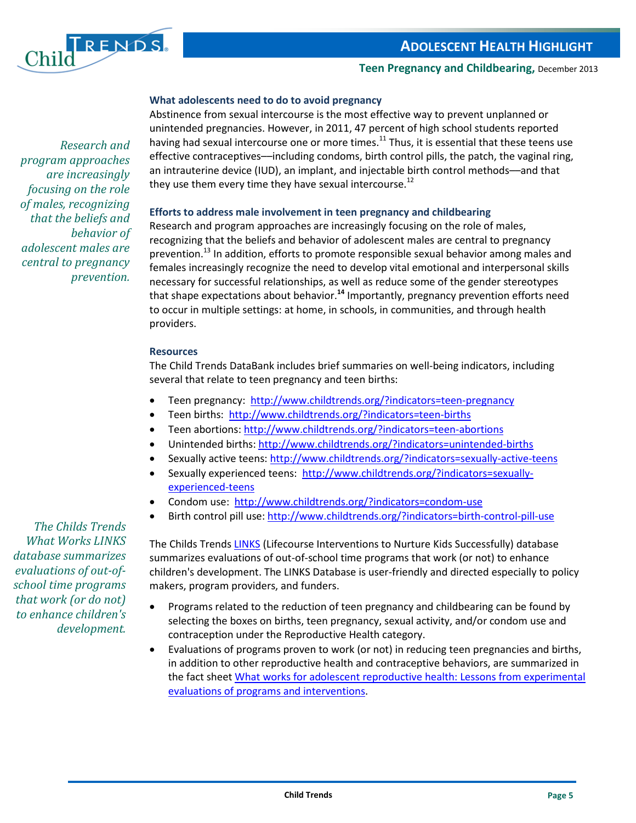

*Research and* 

*behavior of* 

*prevention.*

*program approaches are increasingly focusing on the role of males, recognizing that the beliefs and* 

*adolescent males are central to pregnancy* 

#### **Teen Pregnancy and Childbearing,** December 2013

#### **What adolescents need to do to avoid pregnancy**

Abstinence from sexual intercourse is the most effective way to prevent unplanned or unintended pregnancies. However, in 2011, 47 percent of high school students reported having had sexual intercourse one or more times.<sup>11</sup> Thus, it is essential that these teens use effective contraceptives––including condoms, birth control pills, the patch, the vaginal ring, an intrauterine device (IUD), an implant, and injectable birth control methods––and that they use them every time they have sexual intercourse.<sup>12</sup>

#### **Efforts to address male involvement in teen pregnancy and childbearing**

Research and program approaches are increasingly focusing on the role of males, recognizing that the beliefs and behavior of adolescent males are central to pregnancy prevention.<sup>13</sup> In addition, efforts to promote responsible sexual behavior among males and females increasingly recognize the need to develop vital emotional and interpersonal skills necessary for successful relationships, as well as reduce some of the gender stereotypes that shape expectations about behavior.**<sup>14</sup>** Importantly, pregnancy prevention efforts need to occur in multiple settings: at home, in schools, in communities, and through health providers.

#### **Resources**

The Child Trends DataBank includes brief summaries on well-being indicators, including several that relate to teen pregnancy and teen births:

- Teen pregnancy: <http://www.childtrends.org/?indicators=teen-pregnancy>
- Teen births:<http://www.childtrends.org/?indicators=teen-births>
- Teen abortions:<http://www.childtrends.org/?indicators=teen-abortions>
- Unintended births:<http://www.childtrends.org/?indicators=unintended-births>
- Sexually active teens: <http://www.childtrends.org/?indicators=sexually-active-teens>
- Sexually experienced teens: [http://www.childtrends.org/?indicators=sexually](http://www.childtrends.org/?indicators=sexually-experienced-teens)[experienced-teens](http://www.childtrends.org/?indicators=sexually-experienced-teens)
- Condom use: <http://www.childtrends.org/?indicators=condom-use>
- Birth control pill use[: http://www.childtrends.org/?indicators=birth-control-pill-use](http://www.childtrends.org/?indicators=birth-control-pill-use)

The Childs Trends [LINKS](http://www.childtrends.org/LINKS/) (Lifecourse Interventions to Nurture Kids Successfully) database summarizes evaluations of out-of-school time programs that work (or not) to enhance children's development. The LINKS Database is user-friendly and directed especially to policy makers, program providers, and funders.

- Programs related to the reduction of teen pregnancy and childbearing can be found by selecting the boxes on births, teen pregnancy, sexual activity, and/or condom use and contraception under the Reproductive Health category.
- Evaluations of programs proven to work (or not) in reducing teen pregnancies and births, in addition to other reproductive health and contraceptive behaviors, are summarized in the fact sheet [What works for adolescent reproductive health: Lessons from experimental](http://www.childtrends.org/?publications=what-works-for-adolescent-reproductive-health-lessons-from-experimental-evaluations-of-programs-and-interventions-2)  [evaluations of programs and interventions.](http://www.childtrends.org/?publications=what-works-for-adolescent-reproductive-health-lessons-from-experimental-evaluations-of-programs-and-interventions-2)

*The Childs Trends What Works [LINKS](http://www.childtrends.org/LINKS/) database summarizes evaluations of out-ofschool time programs that work (or do not) to enhance children's development.*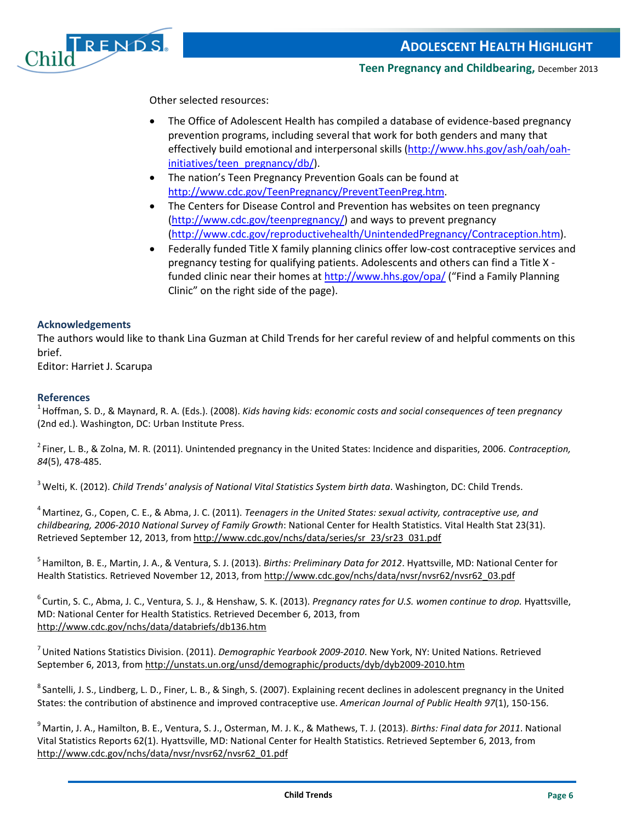

Other selected resources:

- The Office of Adolescent Health has compiled a database of evidence-based pregnancy prevention programs, including several that work for both genders and many that effectively build emotional and interpersonal skills [\(http://www.hhs.gov/ash/oah/oah](http://www.hhs.gov/ash/oah/oah-initiatives/teen_pregnancy/db/)[initiatives/teen\\_pregnancy/db/\)](http://www.hhs.gov/ash/oah/oah-initiatives/teen_pregnancy/db/).
- The nation's Teen Pregnancy Prevention Goals can be found at [http://www.cdc.gov/TeenPregnancy/PreventTeenPreg.htm.](http://www.cdc.gov/TeenPregnancy/PreventTeenPreg.htm)
- The Centers for Disease Control and Prevention has websites on teen pregnancy [\(http://www.cdc.gov/teenpregnancy/\)](http://www.cdc.gov/teenpregnancy/) and ways to prevent pregnancy [\(http://www.cdc.gov/reproductivehealth/UnintendedPregnancy/Contraception.htm\)](http://www.cdc.gov/reproductivehealth/UnintendedPregnancy/Contraception.htm).
- Federally funded Title X family planning clinics offer low-cost contraceptive services and pregnancy testing for qualifying patients. Adolescents and others can find a Title X funded clinic near their homes at<http://www.hhs.gov/opa/> ("Find a Family Planning Clinic" on the right side of the page).

#### **Acknowledgements**

The authors would like to thank Lina Guzman at Child Trends for her careful review of and helpful comments on this brief.

Editor: Harriet J. Scarupa

#### **References**

1 Hoffman, S. D., & Maynard, R. A. (Eds.). (2008). *Kids having kids: economic costs and social consequences of teen pregnancy* (2nd ed.). Washington, DC: Urban Institute Press.

2 Finer, L. B., & Zolna, M. R. (2011). Unintended pregnancy in the United States: Incidence and disparities, 2006. *Contraception, 84*(5), 478-485.

3 Welti, K. (2012). *Child Trends' analysis of National Vital Statistics System birth data*. Washington, DC: Child Trends.

4 Martinez, G., Copen, C. E., & Abma, J. C. (2011). *Teenagers in the United States: sexual activity, contraceptive use, and childbearing, 2006-2010 National Survey of Family Growth*: National Center for Health Statistics. Vital Health Stat 23(31). Retrieved September 12, 2013, fro[m http://www.cdc.gov/nchs/data/series/sr\\_23/sr23\\_031.pdf](http://www.cdc.gov/nchs/data/series/sr_23/sr23_031.pdf)

5 Hamilton, B. E., Martin, J. A., & Ventura, S. J. (2013). *Births: Preliminary Data for 2012*. Hyattsville, MD: National Center for Health Statistics. Retrieved November 12, 2013, fro[m http://www.cdc.gov/nchs/data/nvsr/nvsr62/nvsr62\\_03.pdf](http://www.cdc.gov/nchs/data/nvsr/nvsr62/nvsr62_03.pdf)

6 Curtin, S. C., Abma, J. C., Ventura, S. J., & Henshaw, S. K. (2013). *Pregnancy rates for U.S. women continue to drop.* Hyattsville, MD: National Center for Health Statistics. Retrieved December 6, 2013, from <http://www.cdc.gov/nchs/data/databriefs/db136.htm>

7 United Nations Statistics Division. (2011). *Demographic Yearbook 2009-2010*. New York, NY: United Nations. Retrieved September 6, 2013, from<http://unstats.un.org/unsd/demographic/products/dyb/dyb2009-2010.htm>

<sup>8</sup> Santelli, J. S., Lindberg, L. D., Finer, L. B., & Singh, S. (2007). Explaining recent declines in adolescent pregnancy in the United States: the contribution of abstinence and improved contraceptive use. *American Journal of Public Health 97*(1), 150-156.

9 Martin, J. A., Hamilton, B. E., Ventura, S. J., Osterman, M. J. K., & Mathews, T. J. (2013). *Births: Final data for 2011*. National Vital Statistics Reports 62(1). Hyattsville, MD: National Center for Health Statistics. Retrieved September 6, 2013, from [http://www.cdc.gov/nchs/data/nvsr/nvsr62/nvsr62\\_01.pdf](http://www.cdc.gov/nchs/data/nvsr/nvsr62/nvsr62_01.pdf)